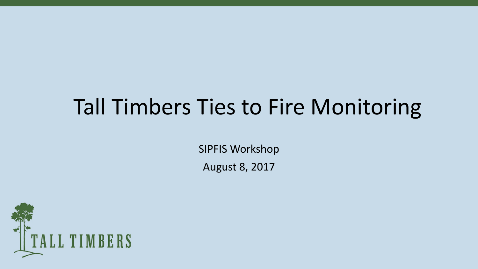## Tall Timbers Ties to Fire Monitoring

SIPFIS Workshop

August 8, 2017

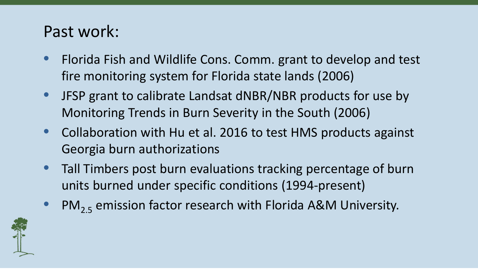## Past work:

- Florida Fish and Wildlife Cons. Comm. grant to develop and test fire monitoring system for Florida state lands (2006)
- JFSP grant to calibrate Landsat dNBR/NBR products for use by Monitoring Trends in Burn Severity in the South (2006)
- Collaboration with Hu et al. 2016 to test HMS products against Georgia burn authorizations
- Tall Timbers post burn evaluations tracking percentage of burn units burned under specific conditions (1994-present)
- $PM_{25}$  emission factor research with Florida A&M University.

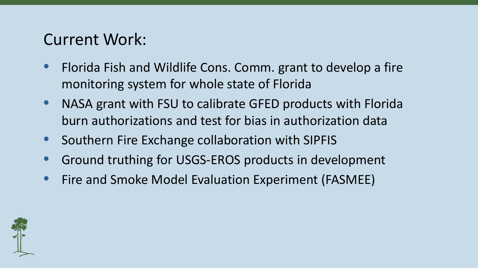## Current Work:

- Florida Fish and Wildlife Cons. Comm. grant to develop a fire monitoring system for whole state of Florida
- NASA grant with FSU to calibrate GFED products with Florida burn authorizations and test for bias in authorization data
- Southern Fire Exchange collaboration with SIPFIS
- Ground truthing for USGS-EROS products in development
- Fire and Smoke Model Evaluation Experiment (FASMEE)